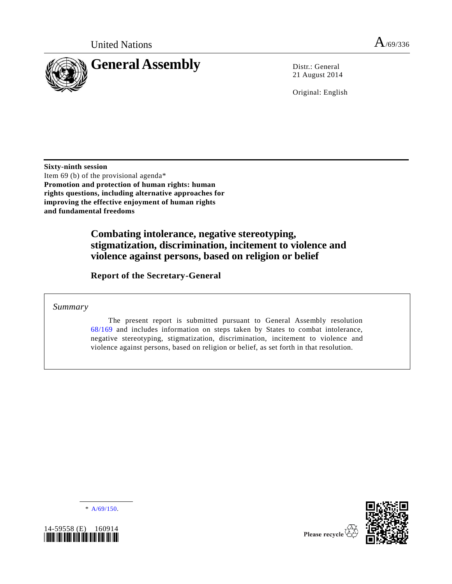



21 August 2014

Original: English

**Sixty-ninth session** Item 69 (b) of the provisional agenda\* **Promotion and protection of human rights: human rights questions, including alternative approaches for improving the effective enjoyment of human rights and fundamental freedoms**

## **Combating intolerance, negative stereotyping, stigmatization, discrimination, incitement to violence and violence against persons, based on religion or belief**

**Report of the Secretary-General**

*Summary*

The present report is submitted pursuant to General Assembly resolution [68/169](http://undocs.org/A/RES/68/169) and includes information on steps taken by States to combat intolerance, negative stereotyping, stigmatization, discrimination, incitement to violence and violence against persons, based on religion or belief, as set forth in that resolution.

 $* A/69/150.$  $* A/69/150.$ 



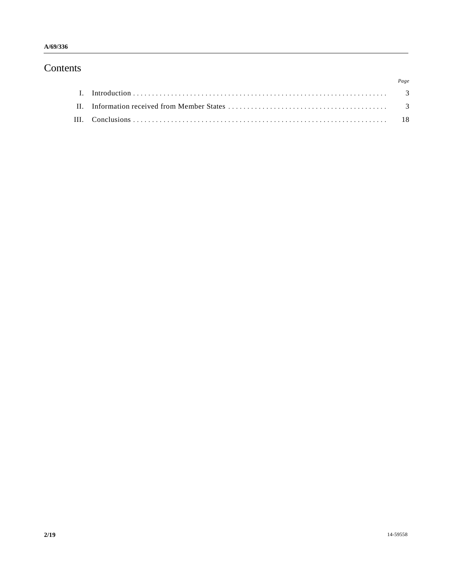# Contents

|  | Page |
|--|------|
|  |      |
|  |      |
|  |      |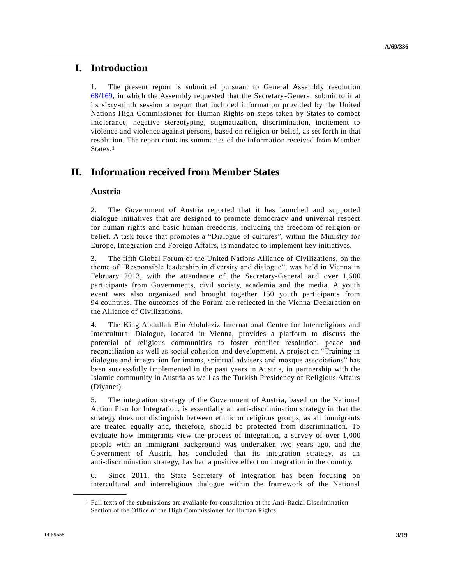## **I. Introduction**

1. The present report is submitted pursuant to General Assembly resolution [68/169,](http://undocs.org/A/RES/68/169) in which the Assembly requested that the Secretary-General submit to it at its sixty-ninth session a report that included information provided by the United Nations High Commissioner for Human Rights on steps taken by States to combat intolerance, negative stereotyping, stigmatization, discrimination, incitement to violence and violence against persons, based on religion or belief, as set fort h in that resolution. The report contains summaries of the information received from Member States.1

## **II. Information received from Member States**

## **Austria**

2. The Government of Austria reported that it has launched and supported dialogue initiatives that are designed to promote democracy and universal respect for human rights and basic human freedoms, including the freedom of religion or belief. A task force that promotes a "Dialogue of cultures", within the Ministry for Europe, Integration and Foreign Affairs, is mandated to implement key initiatives.

3. The fifth Global Forum of the United Nations Alliance of Civilizations, on the theme of "Responsible leadership in diversity and dialogue", was held in Vienna in February 2013, with the attendance of the Secretary-General and over 1,500 participants from Governments, civil society, academia and the media. A youth event was also organized and brought together 150 youth participants from 94 countries. The outcomes of the Forum are reflected in the Vienna Declaration on the Alliance of Civilizations.

4. The King Abdullah Bin Abdulaziz International Centre for Interreligious and Intercultural Dialogue, located in Vienna, provides a platform to discuss the potential of religious communities to foster conflict resolution, peace and reconciliation as well as social cohesion and development. A project on "Training in dialogue and integration for imams, spiritual advisers and mosque associations" has been successfully implemented in the past years in Austria, in partnership with the Islamic community in Austria as well as the Turkish Presidency of Religious Affairs (Diyanet).

5. The integration strategy of the Government of Austria, based on the National Action Plan for Integration, is essentially an anti-discrimination strategy in that the strategy does not distinguish between ethnic or religious groups, as all immigrants are treated equally and, therefore, should be protected from discrimination. To evaluate how immigrants view the process of integration, a survey of over 1,000 people with an immigrant background was undertaken two years ago, and the Government of Austria has concluded that its integration strategy, as an anti-discrimination strategy, has had a positive effect on integration in the country.

6. Since 2011, the State Secretary of Integration has been focusing on intercultural and interreligious dialogue within the framework of the National

**\_\_\_\_\_\_\_\_\_\_\_\_\_\_\_\_\_\_**

<sup>1</sup> Full texts of the submissions are available for consultation at the Anti-Racial Discrimination Section of the Office of the High Commissioner for Human Rights.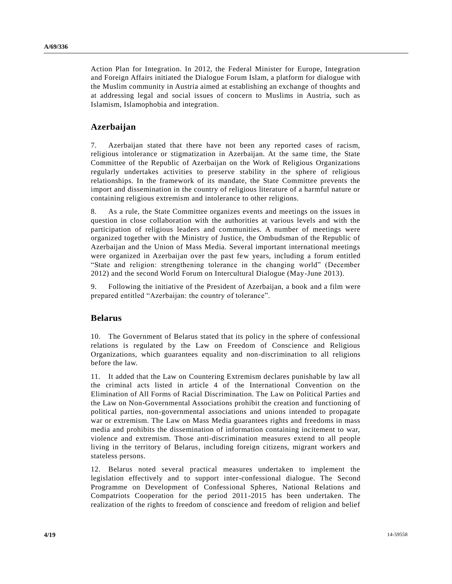Action Plan for Integration. In 2012, the Federal Minister for Europe, Integration and Foreign Affairs initiated the Dialogue Forum Islam, a platform for dialogue with the Muslim community in Austria aimed at establishing an exchange of thoughts and at addressing legal and social issues of concern to Muslims in Austria, such as Islamism, Islamophobia and integration.

## **Azerbaijan**

7. Azerbaijan stated that there have not been any reported cases of racism, religious intolerance or stigmatization in Azerbaijan. At the same time, the State Committee of the Republic of Azerbaijan on the Work of Religious Organizations regularly undertakes activities to preserve stability in the sphere of religious relationships. In the framework of its mandate, the State Committee prevents the import and dissemination in the country of religious literature of a harmful nature or containing religious extremism and intolerance to other religions.

8. As a rule, the State Committee organizes events and meetings on the issues in question in close collaboration with the authorities at various levels and with the participation of religious leaders and communities. A number of meetings were organized together with the Ministry of Justice, the Ombudsman of the Republic of Azerbaijan and the Union of Mass Media. Several important international meetings were organized in Azerbaijan over the past few years, including a forum entitled "State and religion: strengthening tolerance in the changing world" (December 2012) and the second World Forum on Intercultural Dialogue (May-June 2013).

9. Following the initiative of the President of Azerbaijan, a book and a film were prepared entitled "Azerbaijan: the country of tolerance".

## **Belarus**

10. The Government of Belarus stated that its policy in the sphere of confessional relations is regulated by the Law on Freedom of Conscience and Religious Organizations, which guarantees equality and non-discrimination to all religions before the law.

11. It added that the Law on Countering Extremism declares punishable by law all the criminal acts listed in article 4 of the International Convention on the Elimination of All Forms of Racial Discrimination. The Law on Political Parties and the Law on Non-Governmental Associations prohibit the creation and functioning of political parties, non-governmental associations and unions intended to propagate war or extremism. The Law on Mass Media guarantees rights and freedoms in mass media and prohibits the dissemination of information containing incitement to war, violence and extremism. Those anti-discrimination measures extend to all people living in the territory of Belarus, including foreign citizens, migrant workers and stateless persons.

12. Belarus noted several practical measures undertaken to implement the legislation effectively and to support inter-confessional dialogue. The Second Programme on Development of Confessional Spheres, National Relations and Compatriots Cooperation for the period 2011-2015 has been undertaken. The realization of the rights to freedom of conscience and freedom of religion and belief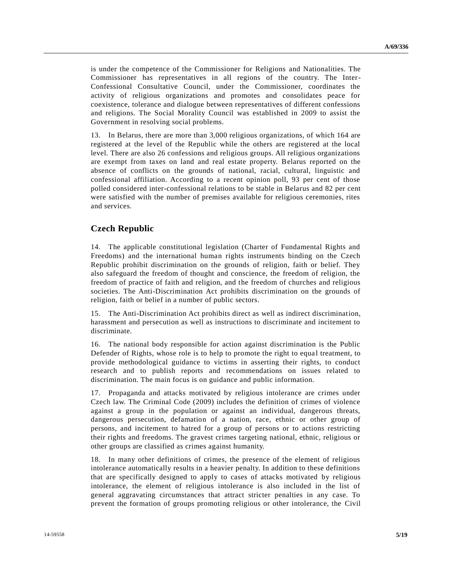is under the competence of the Commissioner for Religions and Nationalities. The Commissioner has representatives in all regions of the country. The Inter-Confessional Consultative Council, under the Commissioner, coordinates the activity of religious organizations and promotes and consolidates peace for coexistence, tolerance and dialogue between representatives of different confessions and religions. The Social Morality Council was established in 2009 to assist the Government in resolving social problems.

13. In Belarus, there are more than 3,000 religious organizations, of which 164 are registered at the level of the Republic while the others are registered at the local level. There are also 26 confessions and religious groups. All religious organizations are exempt from taxes on land and real estate property. Belarus reported on the absence of conflicts on the grounds of national, racial, cultural, linguistic and confessional affiliation. According to a recent opinion poll, 93 per cent of those polled considered inter-confessional relations to be stable in Belarus and 82 per cent were satisfied with the number of premises available for religious ceremonies, rites and services.

## **Czech Republic**

14. The applicable constitutional legislation (Charter of Fundamental Rights and Freedoms) and the international human rights instruments binding on the Czech Republic prohibit discrimination on the grounds of religion, faith or belief. They also safeguard the freedom of thought and conscience, the freedom of religion, the freedom of practice of faith and religion, and the freedom of churches and religious societies. The Anti-Discrimination Act prohibits discrimination on the grounds of religion, faith or belief in a number of public sectors.

15. The Anti-Discrimination Act prohibits direct as well as indirect discrimination, harassment and persecution as well as instructions to discriminate and incitement to discriminate.

16. The national body responsible for action against discrimination is the Public Defender of Rights, whose role is to help to promote the right to equal treatment, to provide methodological guidance to victims in asserting their rights, to conduct research and to publish reports and recommendations on issues related to discrimination. The main focus is on guidance and public information.

17. Propaganda and attacks motivated by religious intolerance are crimes under Czech law. The Criminal Code (2009) includes the definition of crimes of violence against a group in the population or against an individual, dangerous threats, dangerous persecution, defamation of a nation, race, ethnic or other group of persons, and incitement to hatred for a group of persons or to actions restricting their rights and freedoms. The gravest crimes targeting national, ethnic, religious or other groups are classified as crimes against humanity.

18. In many other definitions of crimes, the presence of the element of religious intolerance automatically results in a heavier penalty. In addition to these definitions that are specifically designed to apply to cases of attacks motivated by religious intolerance, the element of religious intolerance is also included in the list of general aggravating circumstances that attract stricter penalties in any case. To prevent the formation of groups promoting religious or other intolerance, the Civil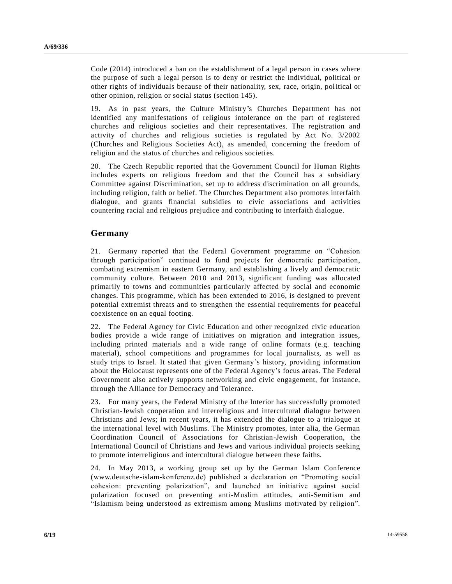Code (2014) introduced a ban on the establishment of a legal person in cases where the purpose of such a legal person is to deny or restrict the individual, political or other rights of individuals because of their nationality, sex, race, origin, political or other opinion, religion or social status (section 145).

19. As in past years, the Culture Ministry's Churches Department has not identified any manifestations of religious intolerance on the part of registered churches and religious societies and their representatives. The registration and activity of churches and religious societies is regulated by Act No. 3/2002 (Churches and Religious Societies Act), as amended, concerning the freedom of religion and the status of churches and religious societies.

20. The Czech Republic reported that the Government Council for Human Rights includes experts on religious freedom and that the Council has a subsidiary Committee against Discrimination, set up to address discrimination on all grounds, including religion, faith or belief. The Churches Department also promotes interfaith dialogue, and grants financial subsidies to civic associations and activities countering racial and religious prejudice and contributing to interfaith dialogue.

## **Germany**

21. Germany reported that the Federal Government programme on "Cohesion through participation" continued to fund projects for democratic participation, combating extremism in eastern Germany, and establishing a lively and democratic community culture. Between 2010 and 2013, significant funding was allocated primarily to towns and communities particularly affected by social and economic changes. This programme, which has been extended to 2016, is designed to prevent potential extremist threats and to strengthen the essential requirements for peaceful coexistence on an equal footing.

22. The Federal Agency for Civic Education and other recognized civic education bodies provide a wide range of initiatives on migration and integration issues, including printed materials and a wide range of online formats (e.g. teaching material), school competitions and programmes for local journalists, as well as study trips to Israel. It stated that given Germany's history, providing information about the Holocaust represents one of the Federal Agency's focus areas. The Federal Government also actively supports networking and civic engagement, for instance, through the Alliance for Democracy and Tolerance.

23. For many years, the Federal Ministry of the Interior has successfully promoted Christian-Jewish cooperation and interreligious and intercultural dialogue between Christians and Jews; in recent years, it has extended the dialogue to a trialogue at the international level with Muslims. The Ministry promotes, inter alia, the German Coordination Council of Associations for Christian-Jewish Cooperation, the International Council of Christians and Jews and various individual projects seeking to promote interreligious and intercultural dialogue between these faiths.

24. In May 2013, a working group set up by the German Islam Conference (www.deutsche-islam-konferenz.de) published a declaration on "Promoting social cohesion: preventing polarization", and launched an initiative against social polarization focused on preventing anti-Muslim attitudes, anti-Semitism and "Islamism being understood as extremism among Muslims motivated by religion".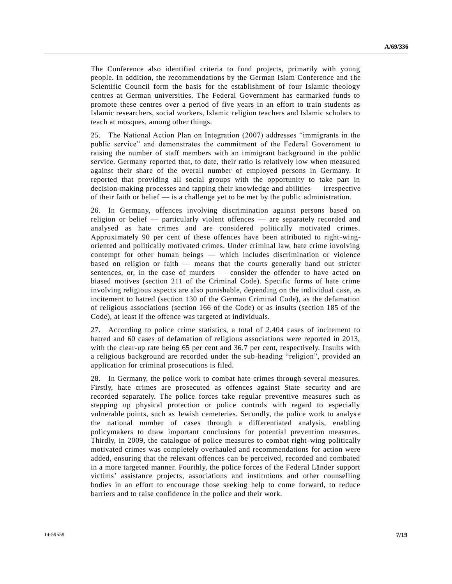The Conference also identified criteria to fund projects, primarily with young people. In addition, the recommendations by the German Islam Conference and t he Scientific Council form the basis for the establishment of four Islamic theology centres at German universities. The Federal Government has earmarked funds to promote these centres over a period of five years in an effort to train students as Islamic researchers, social workers, Islamic religion teachers and Islamic scholars to teach at mosques, among other things.

25. The National Action Plan on Integration (2007) addresses "immigrants in the public service" and demonstrates the commitment of the Federal Government to raising the number of staff members with an immigrant background in the public service. Germany reported that, to date, their ratio is relatively low when measured against their share of the overall number of employed persons in Germany. It reported that providing all social groups with the opportunity to take part in decision-making processes and tapping their knowledge and abilities — irrespective of their faith or belief — is a challenge yet to be met by the public administration.

26. In Germany, offences involving discrimination against persons based on religion or belief — particularly violent offences — are separately recorded and analysed as hate crimes and are considered politically motivated crimes. Approximately 90 per cent of these offences have been attributed to right-wingoriented and politically motivated crimes. Under criminal law, hate crime involving contempt for other human beings — which includes discrimination or violence based on religion or faith — means that the courts generally hand out stricter sentences, or, in the case of murders — consider the offender to have acted on biased motives (section 211 of the Criminal Code). Specific forms of hate crime involving religious aspects are also punishable, depending on the individual case, as incitement to hatred (section 130 of the German Criminal Code), as the defamation of religious associations (section 166 of the Code) or as insults (section 185 of the Code), at least if the offence was targeted at individuals.

27. According to police crime statistics, a total of 2,404 cases of incitement to hatred and 60 cases of defamation of religious associations were reported in 2013, with the clear-up rate being 65 per cent and 36.7 per cent, respectively. Insults with a religious background are recorded under the sub-heading "religion", provided an application for criminal prosecutions is filed.

28. In Germany, the police work to combat hate crimes through several measures. Firstly, hate crimes are prosecuted as offences against State security and are recorded separately. The police forces take regular preventive measures such as stepping up physical protection or police controls with regard to especially vulnerable points, such as Jewish cemeteries. Secondly, the police work to analys e the national number of cases through a differentiated analysis, enabling policymakers to draw important conclusions for potential prevention measures. Thirdly, in 2009, the catalogue of police measures to combat right-wing politically motivated crimes was completely overhauled and recommendations for action were added, ensuring that the relevant offences can be perceived, recorded and combated in a more targeted manner. Fourthly, the police forces of the Federal Länder support victims' assistance projects, associations and institutions and other counselling bodies in an effort to encourage those seeking help to come forward, to reduce barriers and to raise confidence in the police and their work.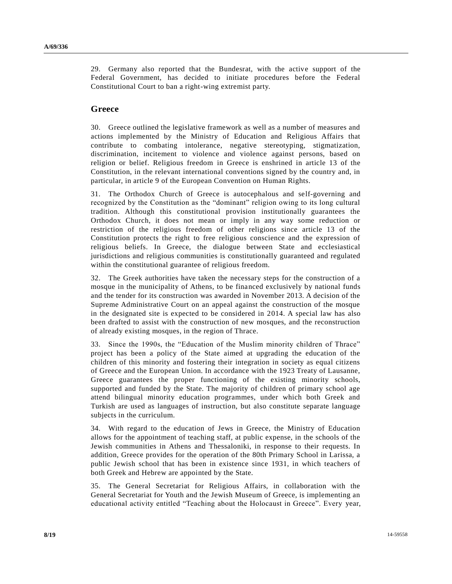29. Germany also reported that the Bundesrat, with the active support of the Federal Government, has decided to initiate procedures before the Federal Constitutional Court to ban a right-wing extremist party.

#### **Greece**

30. Greece outlined the legislative framework as well as a number of measures and actions implemented by the Ministry of Education and Religious Affairs that contribute to combating intolerance, negative stereotyping, stigmatization, discrimination, incitement to violence and violence against persons, based on religion or belief. Religious freedom in Greece is enshrined in article 13 of the Constitution, in the relevant international conventions signed by the country and, in particular, in article 9 of the European Convention on Human Rights.

31. The Orthodox Church of Greece is autocephalous and self-governing and recognized by the Constitution as the "dominant" religion owing to its long cultural tradition. Although this constitutional provision institutionally guarantees the Orthodox Church, it does not mean or imply in any way some reduction or restriction of the religious freedom of other religions since article 13 of the Constitution protects the right to free religious conscience and the expression of religious beliefs. In Greece, the dialogue between State and ecclesiastical jurisdictions and religious communities is constitutionally guaranteed and regulated within the constitutional guarantee of religious freedom.

32. The Greek authorities have taken the necessary steps for the construction of a mosque in the municipality of Athens, to be financed exclusively by national funds and the tender for its construction was awarded in November 2013. A decision of the Supreme Administrative Court on an appeal against the construction of the mosque in the designated site is expected to be considered in 2014. A special law has also been drafted to assist with the construction of new mosques, and the reconstruction of already existing mosques, in the region of Thrace.

33. Since the 1990s, the "Education of the Muslim minority children of Thrace" project has been a policy of the State aimed at upgrading the education of the children of this minority and fostering their integration in society as equal citizens of Greece and the European Union. In accordance with the 1923 Treaty of Lausanne, Greece guarantees the proper functioning of the existing minority schools, supported and funded by the State. The majority of children of primary school age attend bilingual minority education programmes, under which both Greek and Turkish are used as languages of instruction, but also constitute separate language subjects in the curriculum.

34. With regard to the education of Jews in Greece, the Ministry of Education allows for the appointment of teaching staff, at public expense, in the schools of the Jewish communities in Athens and Thessaloniki, in response to their requests. In addition, Greece provides for the operation of the 80th Primary School in Larissa, a public Jewish school that has been in existence since 1931, in which teachers of both Greek and Hebrew are appointed by the State.

35. The General Secretariat for Religious Affairs, in collaboration with the General Secretariat for Youth and the Jewish Museum of Greece, is implementing an educational activity entitled "Teaching about the Holocaust in Greece". Every year,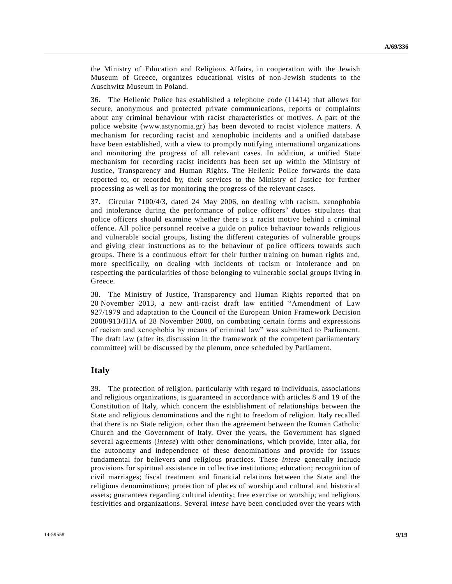the Ministry of Education and Religious Affairs, in cooperation with the Jewish Museum of Greece, organizes educational visits of non-Jewish students to the Auschwitz Museum in Poland.

36. The Hellenic Police has established a telephone code (11414) that allows for secure, anonymous and protected private communications, reports or complaints about any criminal behaviour with racist characteristics or motives. A part of the police website (www.astynomia.gr) has been devoted to racist violence matters. A mechanism for recording racist and xenophobic incidents and a unified database have been established, with a view to promptly notifying international organizations and monitoring the progress of all relevant cases. In addition, a unified State mechanism for recording racist incidents has been set up within the Ministry of Justice, Transparency and Human Rights. The Hellenic Police forwards the data reported to, or recorded by, their services to the Ministry of Justice for further processing as well as for monitoring the progress of the relevant cases.

37. Circular 7100/4/3, dated 24 May 2006, on dealing with racism, xenophobia and intolerance during the performance of police officers' duties stipulates that police officers should examine whether there is a racist motive behind a criminal offence. All police personnel receive a guide on police behaviour towards religious and vulnerable social groups, listing the different categories of vulnerable groups and giving clear instructions as to the behaviour of police officers towards such groups. There is a continuous effort for their further training on human rights and, more specifically, on dealing with incidents of racism or intolerance and on respecting the particularities of those belonging to vulnerable soc ial groups living in Greece.

38. The Ministry of Justice, Transparency and Human Rights reported that on 20 November 2013, a new anti-racist draft law entitled "Amendment of Law 927/1979 and adaptation to the Council of the European Union Framework Decision 2008/913/JHA of 28 November 2008, on combating certain forms and expressions of racism and xenophobia by means of criminal law" was submitted to Parliament. The draft law (after its discussion in the framework of the competent parliamentary committee) will be discussed by the plenum, once scheduled by Parliament.

## **Italy**

39. The protection of religion, particularly with regard to individuals, associations and religious organizations, is guaranteed in accordance with articles 8 and 19 of the Constitution of Italy, which concern the establishment of relationships between the State and religious denominations and the right to freedom of religion. Italy recalled that there is no State religion, other than the agreement between the Roman Catholic Church and the Government of Italy. Over the years, the Government has signed several agreements (*intese*) with other denominations, which provide, inter alia, for the autonomy and independence of these denominations and provide for issues fundamental for believers and religious practices. These *intese* generally include provisions for spiritual assistance in collective institutions; education; recognition of civil marriages; fiscal treatment and financial relations between the State and the religious denominations; protection of places of worship and cultural and historical assets; guarantees regarding cultural identity; free exercise or worship; and religious festivities and organizations. Several *intese* have been concluded over the years with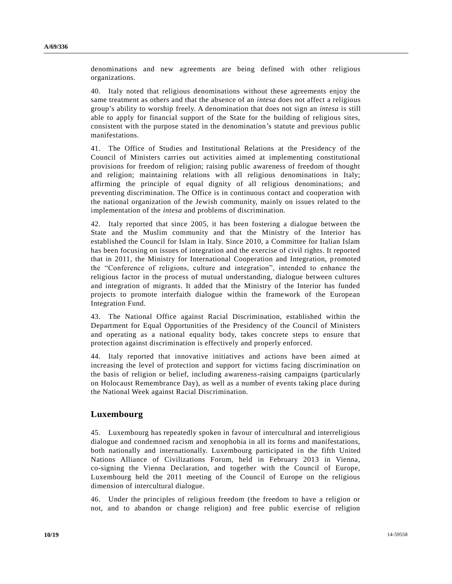denominations and new agreements are being defined with other religious organizations.

40. Italy noted that religious denominations without these agreements enjoy the same treatment as others and that the absence of an *intesa* does not affect a religious group's ability to worship freely. A denomination that does not sign an *intesa* is still able to apply for financial support of the State for the building of religious sites, consistent with the purpose stated in the denomination's statute and previous public manifestations.

41. The Office of Studies and Institutional Relations at the Presidency of the Council of Ministers carries out activities aimed at implementing constitutional provisions for freedom of religion; raising public awareness of freedom of thought and religion; maintaining relations with all religious denominations in Italy; affirming the principle of equal dignity of all religious denominations; and preventing discrimination. The Office is in continuous contact and cooperation with the national organization of the Jewish community, mainly on issues related to the implementation of the *intesa* and problems of discrimination.

42. Italy reported that since 2005, it has been fostering a dialogue between the State and the Muslim community and that the Ministry of the Interior has established the Council for Islam in Italy. Since 2010, a Committee for Italian Islam has been focusing on issues of integration and the exercise of civil rights. It reported that in 2011, the Ministry for International Cooperation and Integration, promoted the "Conference of religions, culture and integration", intended to enhance the religious factor in the process of mutual understanding, dialogue between cultures and integration of migrants. It added that the Ministry of the Interior has funded projects to promote interfaith dialogue within the framework of the European Integration Fund.

43. The National Office against Racial Discrimination, established within the Department for Equal Opportunities of the Presidency of the Council of Ministers and operating as a national equality body, takes concrete steps to ensure that protection against discrimination is effectively and properly enforced.

44. Italy reported that innovative initiatives and actions have been aimed at increasing the level of protection and support for victims facing discrimination on the basis of religion or belief, including awareness-raising campaigns (particularly on Holocaust Remembrance Day), as well as a number of events taking place during the National Week against Racial Discrimination.

#### **Luxembourg**

45. Luxembourg has repeatedly spoken in favour of intercultural and interreligious dialogue and condemned racism and xenophobia in all its forms and manifestations, both nationally and internationally. Luxembourg participated in the fifth United Nations Alliance of Civilizations Forum, held in February 2013 in Vienna, co-signing the Vienna Declaration, and together with the Council of Europe, Luxembourg held the 2011 meeting of the Council of Europe on the religious dimension of intercultural dialogue.

46. Under the principles of religious freedom (the freedom to have a religion or not, and to abandon or change religion) and free public exercise of religion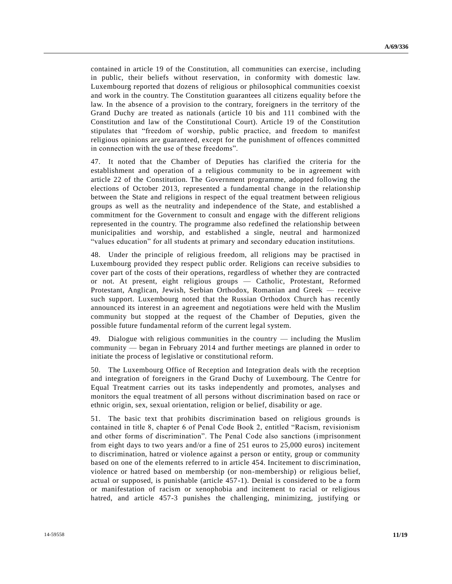contained in article 19 of the Constitution, all communities can exercise , including in public, their beliefs without reservation, in conformity with domestic law. Luxembourg reported that dozens of religious or philosophical communities coexist and work in the country. The Constitution guarantees all citizens equality before t he law. In the absence of a provision to the contrary, foreigners in the territory of the Grand Duchy are treated as nationals (article 10 bis and 111 combined with the Constitution and law of the Constitutional Court). Article 19 of the Constitution stipulates that "freedom of worship, public practice, and freedom to manifest religious opinions are guaranteed, except for the punishment of offences committed in connection with the use of these freedoms".

47. It noted that the Chamber of Deputies has clarified the criteria for the establishment and operation of a religious community to be in agreement with article 22 of the Constitution. The Government programme, adopted following the elections of October 2013, represented a fundamental change in the relationship between the State and religions in respect of the equal treatment between religious groups as well as the neutrality and independence of the State, and established a commitment for the Government to consult and engage with the different religions represented in the country. The programme also redefined the relationship between municipalities and worship, and established a single, neutral and harmonized "values education" for all students at primary and secondary education institutions.

48. Under the principle of religious freedom, all religions may be practised in Luxembourg provided they respect public order. Religions can receive subsidies to cover part of the costs of their operations, regardless of whether they are contracted or not. At present, eight religious groups — Catholic, Protestant, Reformed Protestant, Anglican, Jewish, Serbian Orthodox, Romanian and Greek — receive such support. Luxembourg noted that the Russian Orthodox Church has recently announced its interest in an agreement and negotiations were held with the Muslim community but stopped at the request of the Chamber of Deputies, given the possible future fundamental reform of the current legal system.

49. Dialogue with religious communities in the country — including the Muslim community — began in February 2014 and further meetings are planned in order to initiate the process of legislative or constitutional reform.

50. The Luxembourg Office of Reception and Integration deals with the reception and integration of foreigners in the Grand Duchy of Luxembourg. The Centre for Equal Treatment carries out its tasks independently and promotes, analyses and monitors the equal treatment of all persons without discrimination based on race or ethnic origin, sex, sexual orientation, religion or belief, disability or age.

51. The basic text that prohibits discrimination based on religious grounds is contained in title 8, chapter 6 of Penal Code Book 2, entitled "Racism, revisionism and other forms of discrimination". The Penal Code also sanctions (imprisonment from eight days to two years and/or a fine of 251 euros to 25,000 euros) incitement to discrimination, hatred or violence against a person or entity, group or community based on one of the elements referred to in article 454. Incitement to disc rimination, violence or hatred based on membership (or non-membership) or religious belief, actual or supposed, is punishable (article 457-1). Denial is considered to be a form or manifestation of racism or xenophobia and incitement to racial or religious hatred, and article 457-3 punishes the challenging, minimizing, justifying or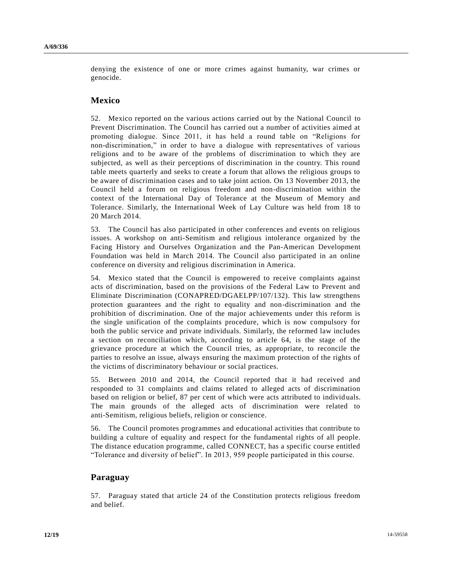denying the existence of one or more crimes against humanity, war crimes or genocide.

#### **Mexico**

52. Mexico reported on the various actions carried out by the National Council to Prevent Discrimination. The Council has carried out a number of activities aimed at promoting dialogue. Since 2011, it has held a round table on "Religions for non-discrimination," in order to have a dialogue with representatives of various religions and to be aware of the problems of discrimination to which they are subjected, as well as their perceptions of discrimination in the country. This round table meets quarterly and seeks to create a forum that allows the religious groups to be aware of discrimination cases and to take joint action. On 13 November 2013, the Council held a forum on religious freedom and non-discrimination within the context of the International Day of Tolerance at the Museum of Memory and Tolerance. Similarly, the International Week of Lay Culture was held from 18 to 20 March 2014.

53. The Council has also participated in other conferences and events on religious issues. A workshop on anti-Semitism and religious intolerance organized by the Facing History and Ourselves Organization and the Pan-American Development Foundation was held in March 2014. The Council also participated in an online conference on diversity and religious discrimination in America.

54. Mexico stated that the Council is empowered to receive complaints against acts of discrimination, based on the provisions of the Federal Law to Prevent and Eliminate Discrimination (CONAPRED/DGAELPP/107/132). This law strengthens protection guarantees and the right to equality and non-discrimination and the prohibition of discrimination. One of the major achievements under this reform is the single unification of the complaints procedure, which is now compulsory for both the public service and private individuals. Similarly, the reformed law includes a section on reconciliation which, according to article 64, is the stage of the grievance procedure at which the Council tries, as appropriate, to reconcile the parties to resolve an issue, always ensuring the maximum protection of the rights of the victims of discriminatory behaviour or social practices.

55. Between 2010 and 2014, the Council reported that it had received and responded to 31 complaints and claims related to alleged acts of discrimination based on religion or belief, 87 per cent of which were acts attributed to individ uals. The main grounds of the alleged acts of discrimination were related to anti-Semitism, religious beliefs, religion or conscience.

56. The Council promotes programmes and educational activities that contribute to building a culture of equality and respect for the fundamental rights of all people. The distance education programme, called CONNECT, has a specific course entitled "Tolerance and diversity of belief". In 2013, 959 people participated in this course.

## **Paraguay**

57. Paraguay stated that article 24 of the Constitution protects religious freedom and belief.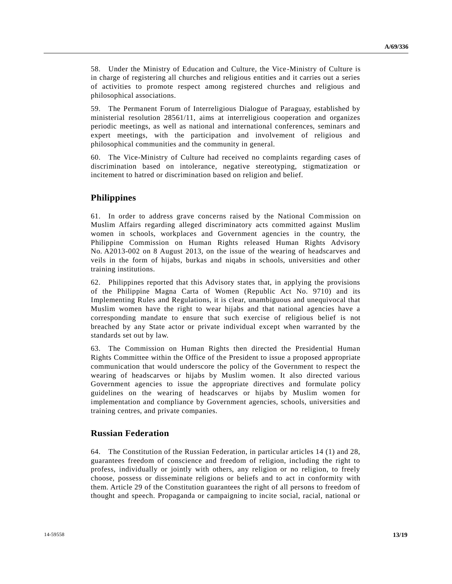58. Under the Ministry of Education and Culture, the Vice-Ministry of Culture is in charge of registering all churches and religious entities and it carries out a series of activities to promote respect among registered churches and religious and philosophical associations.

59. The Permanent Forum of Interreligious Dialogue of Paraguay, established by ministerial resolution 28561/11, aims at interreligious cooperation and organizes periodic meetings, as well as national and international conferences, seminars and expert meetings, with the participation and involvement of religious and philosophical communities and the community in general.

60. The Vice-Ministry of Culture had received no complaints regarding cases of discrimination based on intolerance, negative stereotyping, stigmatization or incitement to hatred or discrimination based on religion and belief.

## **Philippines**

61. In order to address grave concerns raised by the National Commission on Muslim Affairs regarding alleged discriminatory acts committed against Muslim women in schools, workplaces and Government agencies in the country, the Philippine Commission on Human Rights released Human Rights Advisory No. A2013-002 on 8 August 2013, on the issue of the wearing of headscarves and veils in the form of hijabs, burkas and niqabs in schools, universities and other training institutions.

62. Philippines reported that this Advisory states that, in applying the provisions of the Philippine Magna Carta of Women (Republic Act No. 9710) and its Implementing Rules and Regulations, it is clear, unambiguous and unequivocal that Muslim women have the right to wear hijabs and that national agencies have a corresponding mandate to ensure that such exercise of religious belief is not breached by any State actor or private individual except when warranted by the standards set out by law.

63. The Commission on Human Rights then directed the Presidential Human Rights Committee within the Office of the President to issue a proposed appropriate communication that would underscore the policy of the Government to respect the wearing of headscarves or hijabs by Muslim women. It also directed various Government agencies to issue the appropriate directives and formulate policy guidelines on the wearing of headscarves or hijabs by Muslim women for implementation and compliance by Government agencies, schools, universities and training centres, and private companies.

#### **Russian Federation**

64. The Constitution of the Russian Federation, in particular articles 14 (1) and 28, guarantees freedom of conscience and freedom of religion, including the right to profess, individually or jointly with others, any religion or no religion, to freely choose, possess or disseminate religions or beliefs and to act in conformity with them. Article 29 of the Constitution guarantees the right of all persons to freedom of thought and speech. Propaganda or campaigning to incite social, racial, national or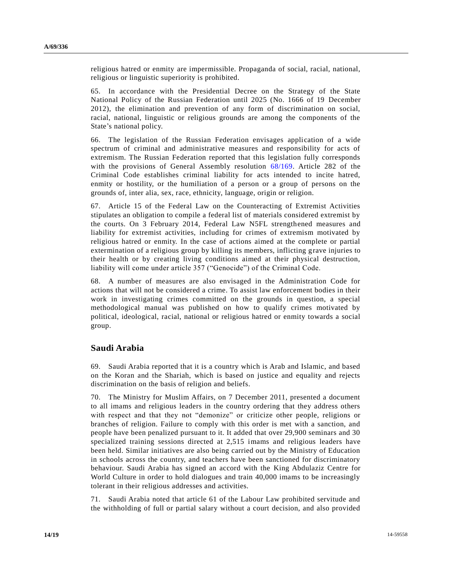religious hatred or enmity are impermissible. Propaganda of social, racial, national, religious or linguistic superiority is prohibited.

65. In accordance with the Presidential Decree on the Strategy of the State National Policy of the Russian Federation until 2025 (No. 1666 of 19 December 2012), the elimination and prevention of any form of discrimination on social, racial, national, linguistic or religious grounds are among the components of the State's national policy.

66. The legislation of the Russian Federation envisages application of a wide spectrum of criminal and administrative measures and responsibility for acts of extremism. The Russian Federation reported that this legislation fully corresponds with the provisions of General Assembly resolution [68/169.](http://undocs.org/A/RES/68/169) Article 282 of the Criminal Code establishes criminal liability for acts intended to incite hatred, enmity or hostility, or the humiliation of a person or a group of persons on the grounds of, inter alia, sex, race, ethnicity, language, origin or religion.

67. Article 15 of the Federal Law on the Counteracting of Extremist Activities stipulates an obligation to compile a federal list of materials considered extremist by the courts. On 3 February 2014, Federal Law N5FL strengthened measures and liability for extremist activities, including for crimes of extremism motivated by religious hatred or enmity. In the case of actions aimed at the complete or partial extermination of a religious group by killing its members, inflicting grave injuries to their health or by creating living conditions aimed at their physical destruction, liability will come under article 357 ("Genocide") of the Criminal Code.

68. A number of measures are also envisaged in the Administration Code for actions that will not be considered a crime. To assist law enforcement bodies in their work in investigating crimes committed on the grounds in question, a special methodological manual was published on how to qualify crimes motivated by political, ideological, racial, national or religious hatred or enmity towards a social group.

## **Saudi Arabia**

69. Saudi Arabia reported that it is a country which is Arab and Islamic, and based on the Koran and the Shariah, which is based on justice and equality and rejects discrimination on the basis of religion and beliefs.

70. The Ministry for Muslim Affairs, on 7 December 2011, presented a document to all imams and religious leaders in the country ordering that they address others with respect and that they not "demonize" or criticize other people, religions or branches of religion. Failure to comply with this order is met with a sanction, and people have been penalized pursuant to it. It added that over 29,900 seminars and 30 specialized training sessions directed at 2,515 imams and religious leaders have been held. Similar initiatives are also being carried out by the Ministry of Education in schools across the country, and teachers have been sanctioned for discriminatory behaviour. Saudi Arabia has signed an accord with the King Abdulaziz Centre for World Culture in order to hold dialogues and train 40,000 imams to be increasingly tolerant in their religious addresses and activities.

71. Saudi Arabia noted that article 61 of the Labour Law prohibited servitude and the withholding of full or partial salary without a court decision, and also provided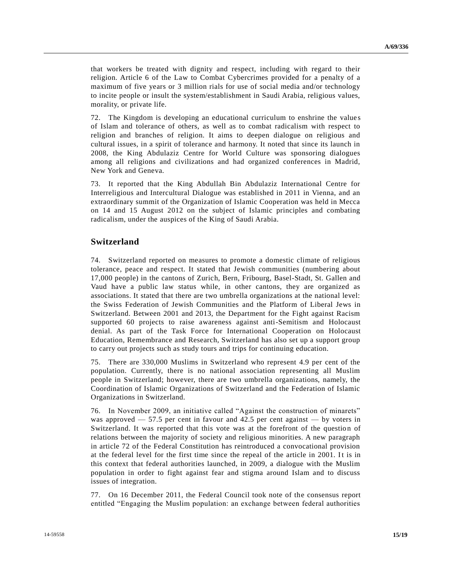that workers be treated with dignity and respect, including with regard to their religion. Article 6 of the Law to Combat Cybercrimes provided for a penalty of a maximum of five years or 3 million rials for use of social media and/or technology to incite people or insult the system/establishment in Saudi Arabia, religious values, morality, or private life.

72. The Kingdom is developing an educational curriculum to enshrine the value s of Islam and tolerance of others, as well as to combat radicalism with respect to religion and branches of religion. It aims to deepen dialogue on religious and cultural issues, in a spirit of tolerance and harmony. It noted that since its launch in 2008, the King Abdulaziz Centre for World Culture was sponsoring dialogues among all religions and civilizations and had organized conferences in Madrid, New York and Geneva.

73. It reported that the King Abdullah Bin Abdulaziz International Centre for Interreligious and Intercultural Dialogue was established in 2011 in Vienna, and an extraordinary summit of the Organization of Islamic Cooperation was held in Mecca on 14 and 15 August 2012 on the subject of Islamic principles and combating radicalism, under the auspices of the King of Saudi Arabia.

## **Switzerland**

74. Switzerland reported on measures to promote a domestic climate of religious tolerance, peace and respect. It stated that Jewish communities (numbering about 17,000 people) in the cantons of Zurich, Bern, Fribourg, Basel-Stadt, St. Gallen and Vaud have a public law status while, in other cantons, they are organized as associations. It stated that there are two umbrella organizations at the national level: the Swiss Federation of Jewish Communities and the Platform of Liberal Jews in Switzerland. Between 2001 and 2013, the Department for the Fight against Racism supported 60 projects to raise awareness against anti-Semitism and Holocaust denial. As part of the Task Force for International Cooperation on Holocaust Education, Remembrance and Research, Switzerland has also set up a support group to carry out projects such as study tours and trips for continuing education.

75. There are 330,000 Muslims in Switzerland who represent 4.9 per cent of the population. Currently, there is no national association representing all Muslim people in Switzerland; however, there are two umbrella organizations, namely, the Coordination of Islamic Organizations of Switzerland and the Federation of Islamic Organizations in Switzerland.

76. In November 2009, an initiative called "Against the construction of minarets" was approved — 57.5 per cent in favour and 42.5 per cent against — by voters in Switzerland. It was reported that this vote was at the forefront of the question of relations between the majority of society and religious minorities. A new paragraph in article 72 of the Federal Constitution has reintroduced a convocational provision at the federal level for the first time since the repeal of the article in 2001. It is in this context that federal authorities launched, in 2009, a dialogue with the Muslim population in order to fight against fear and stigma around Islam and to discuss issues of integration.

77. On 16 December 2011, the Federal Council took note of the consensus report entitled "Engaging the Muslim population: an exchange between federal authorities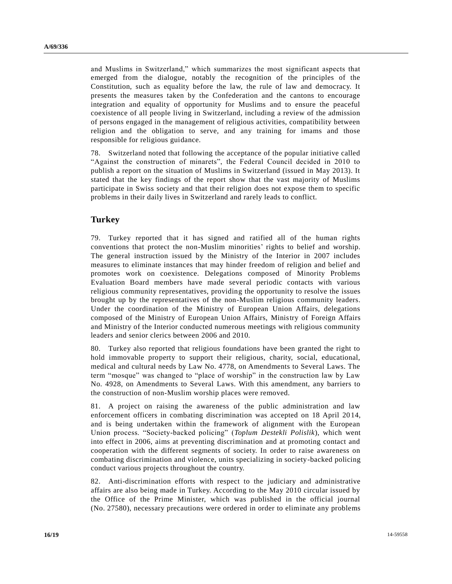and Muslims in Switzerland," which summarizes the most significant aspects that emerged from the dialogue, notably the recognition of the principles of the Constitution, such as equality before the law, the rule of law and democracy. It presents the measures taken by the Confederation and the cantons to encourage integration and equality of opportunity for Muslims and to ensure the peaceful coexistence of all people living in Switzerland, including a review of the admission of persons engaged in the management of religious activities, compatibility between religion and the obligation to serve, and any training for imams and those responsible for religious guidance.

78. Switzerland noted that following the acceptance of the popular initiative called "Against the construction of minarets", the Federal Council decided in 2010 to publish a report on the situation of Muslims in Switzerland (issued in May 2013). It stated that the key findings of the report show that the vast majority of Muslims participate in Swiss society and that their religion does not expose them to specific problems in their daily lives in Switzerland and rarely leads to conflict.

## **Turkey**

79. Turkey reported that it has signed and ratified all of the human rights conventions that protect the non-Muslim minorities' rights to belief and worship. The general instruction issued by the Ministry of the Interior in 2007 includes measures to eliminate instances that may hinder freedom of religion and belief and promotes work on coexistence. Delegations composed of Minority Problems Evaluation Board members have made several periodic contacts with various religious community representatives, providing the opportunity to resolve the issues brought up by the representatives of the non-Muslim religious community leaders. Under the coordination of the Ministry of European Union Affairs, delegations composed of the Ministry of European Union Affairs, Ministry of Foreign Affairs and Ministry of the Interior conducted numerous meetings with religious community leaders and senior clerics between 2006 and 2010.

80. Turkey also reported that religious foundations have been granted the right to hold immovable property to support their religious, charity, social, educational, medical and cultural needs by Law No. 4778, on Amendments to Several Laws. The term "mosque" was changed to "place of worship" in the construction law by Law No. 4928, on Amendments to Several Laws. With this amendment, any barriers to the construction of non-Muslim worship places were removed.

81. A project on raising the awareness of the public administration and law enforcement officers in combating discrimination was accepted on 18 April 20 14, and is being undertaken within the framework of alignment with the European Union process. "Society-backed policing" (*Toplum Destekli Polislik*), which went into effect in 2006, aims at preventing discrimination and at promoting contact and cooperation with the different segments of society. In order to raise awareness on combating discrimination and violence, units specializing in society-backed policing conduct various projects throughout the country.

82. Anti-discrimination efforts with respect to the judiciary and administrative affairs are also being made in Turkey. According to the May 2010 circular issued by the Office of the Prime Minister, which was published in the official journal (No. 27580), necessary precautions were ordered in order to eliminate any problems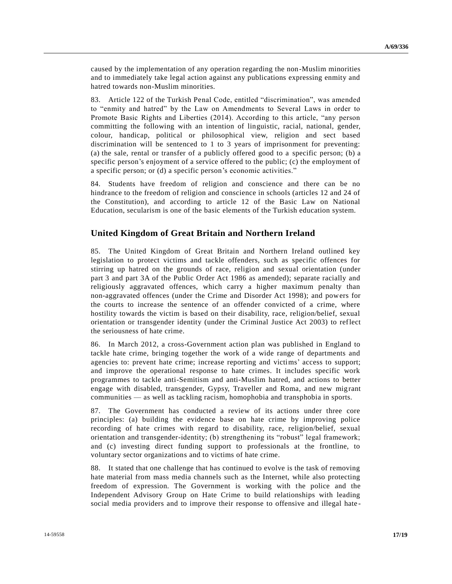caused by the implementation of any operation regarding the non-Muslim minorities and to immediately take legal action against any publications expressing enmity and hatred towards non-Muslim minorities.

83. Article 122 of the Turkish Penal Code, entitled "discrimination", was amended to "enmity and hatred" by the Law on Amendments to Several Laws in order to Promote Basic Rights and Liberties (2014). According to this article, "any person committing the following with an intention of linguistic, racial, national, gender, colour, handicap, political or philosophical view, religion and sect based discrimination will be sentenced to 1 to 3 years of imprisonment for preventing: (a) the sale, rental or transfer of a publicly offered good to a specific person; (b) a specific person's enjoyment of a service offered to the public; (c) the employment of a specific person; or (d) a specific person's economic activities."

84. Students have freedom of religion and conscience and there can be no hindrance to the freedom of religion and conscience in schools (articles 12 and 24 of the Constitution), and according to article 12 of the Basic Law on National Education, secularism is one of the basic elements of the Turkish education system.

## **United Kingdom of Great Britain and Northern Ireland**

85. The United Kingdom of Great Britain and Northern Ireland outlined key legislation to protect victims and tackle offenders, such as specific offences for stirring up hatred on the grounds of race, religion and sexual orientation (under part 3 and part 3A of the Public Order Act 1986 as amended); separate racially and religiously aggravated offences, which carry a higher maximum penalty than non-aggravated offences (under the Crime and Disorder Act 1998); and powers for the courts to increase the sentence of an offender convicted of a crime, where hostility towards the victim is based on their disability, race, religion/belief, sexual orientation or transgender identity (under the Criminal Justice Act 2003) to reflect the seriousness of hate crime.

86. In March 2012, a cross-Government action plan was published in England to tackle hate crime, bringing together the work of a wide range of departments and agencies to: prevent hate crime; increase reporting and victims' access to support; and improve the operational response to hate crimes. It includes specific work programmes to tackle anti-Semitism and anti-Muslim hatred, and actions to better engage with disabled, transgender, Gypsy, Traveller and Roma, and new migrant communities — as well as tackling racism, homophobia and transphobia in sports.

87. The Government has conducted a review of its actions under three core principles: (a) building the evidence base on hate crime by improving police recording of hate crimes with regard to disability, race, religion/belief, sexual orientation and transgender-identity; (b) strengthening its "robust" legal framework; and (c) investing direct funding support to professionals at the frontline, to voluntary sector organizations and to victims of hate crime.

88. It stated that one challenge that has continued to evolve is the task of removing hate material from mass media channels such as the Internet, while also protecting freedom of expression. The Government is working with the police and the Independent Advisory Group on Hate Crime to build relationships with leading social media providers and to improve their response to offensive and illegal hate -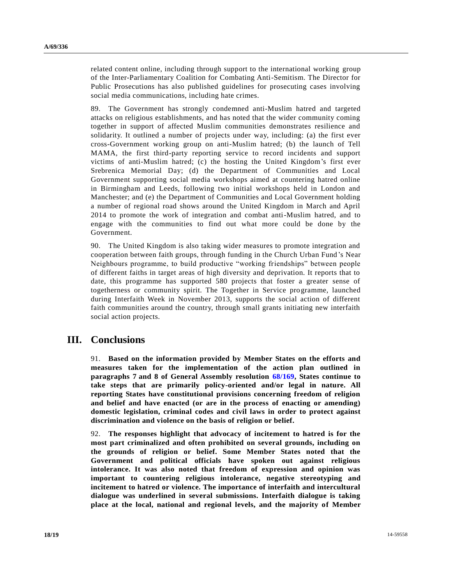related content online, including through support to the international working group of the Inter-Parliamentary Coalition for Combating Anti-Semitism. The Director for Public Prosecutions has also published guidelines for prosecuting cases involving social media communications, including hate crimes.

89. The Government has strongly condemned anti-Muslim hatred and targeted attacks on religious establishments, and has noted that the wider community coming together in support of affected Muslim communities demonstrates resilience and solidarity. It outlined a number of projects under way, including: (a) the first ever cross-Government working group on anti-Muslim hatred; (b) the launch of Tell MAMA, the first third-party reporting service to record incidents and support victims of anti-Muslim hatred; (c) the hosting the United Kingdom's first ever Srebrenica Memorial Day; (d) the Department of Communities and Local Government supporting social media workshops aimed at countering hatred online in Birmingham and Leeds, following two initial workshops held in London and Manchester; and (e) the Department of Communities and Local Government holding a number of regional road shows around the United Kingdom in March and April 2014 to promote the work of integration and combat anti-Muslim hatred, and to engage with the communities to find out what more could be done by the Government.

90. The United Kingdom is also taking wider measures to promote integration and cooperation between faith groups, through funding in the Church Urban Fund 's Near Neighbours programme, to build productive "working friendships" between people of different faiths in target areas of high diversity and deprivation. It reports that to date, this programme has supported 580 projects that foster a greater sense of togetherness or community spirit. The Together in Service programme, launched during Interfaith Week in November 2013, supports the social action of different faith communities around the country, through small grants initiating new interfaith social action projects.

## **III. Conclusions**

91. **Based on the information provided by Member States on the efforts and measures taken for the implementation of the action plan outlined in paragraphs 7 and 8 of General Assembly resolution [68/169,](http://undocs.org/A/RES/68/169) States continue to take steps that are primarily policy-oriented and/or legal in nature. All reporting States have constitutional provisions concerning freedom of religion and belief and have enacted (or are in the process of enacting or amending) domestic legislation, criminal codes and civil laws in order to protect against discrimination and violence on the basis of religion or belief.**

92. **The responses highlight that advocacy of incitement to hatred is for the most part criminalized and often prohibited on several grounds, including on the grounds of religion or belief. Some Member States noted that the Government and political officials have spoken out against religious intolerance. It was also noted that freedom of expression and opinion was important to countering religious intolerance, negative stereotyping and incitement to hatred or violence. The importance of interfaith and intercultural dialogue was underlined in several submissions. Interfaith dialogue is taking place at the local, national and regional levels, and the majority of Member**